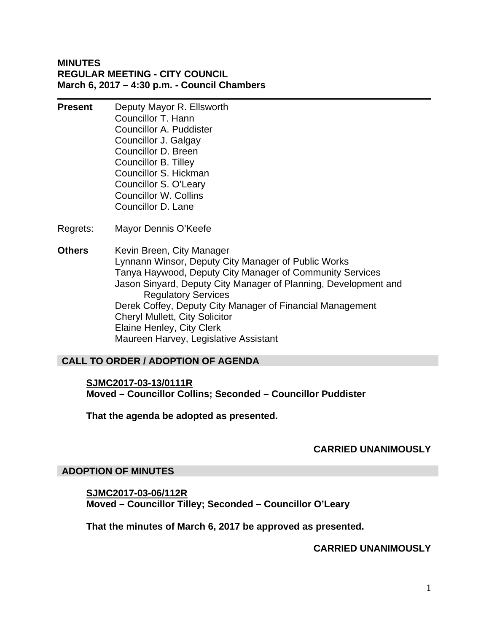# **MINUTES REGULAR MEETING - CITY COUNCIL March 6, 2017 – 4:30 p.m. - Council Chambers**

- **Present** Deputy Mayor R. Ellsworth Councillor T. Hann Councillor A. Puddister Councillor J. Galgay Councillor D. Breen Councillor B. Tilley Councillor S. Hickman Councillor S. O'Leary Councillor W. Collins Councillor D. Lane
- Regrets: Mayor Dennis O'Keefe
- **Others** Kevin Breen, City Manager Lynnann Winsor, Deputy City Manager of Public Works Tanya Haywood, Deputy City Manager of Community Services Jason Sinyard, Deputy City Manager of Planning, Development and Regulatory Services Derek Coffey, Deputy City Manager of Financial Management Cheryl Mullett, City Solicitor Elaine Henley, City Clerk Maureen Harvey, Legislative Assistant

# **CALL TO ORDER / ADOPTION OF AGENDA**

# **SJMC2017-03-13/0111R Moved – Councillor Collins; Seconded – Councillor Puddister**

**That the agenda be adopted as presented.** 

#### **CARRIED UNANIMOUSLY**

#### **ADOPTION OF MINUTES**

# **SJMC2017-03-06/112R Moved – Councillor Tilley; Seconded – Councillor O'Leary**

**That the minutes of March 6, 2017 be approved as presented.** 

#### **CARRIED UNANIMOUSLY**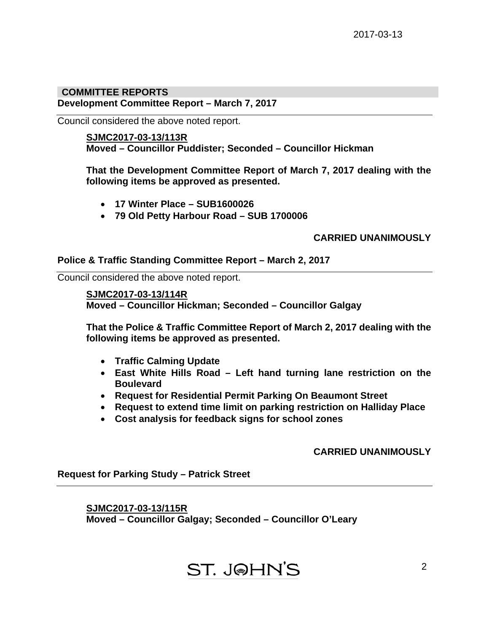### **Development Committee Report – March 7, 2017 COMMITTEE REPORTS**

Council considered the above noted report.

### **SJMC2017-03-13/113R**

**Moved – Councillor Puddister; Seconded – Councillor Hickman** 

**That the Development Committee Report of March 7, 2017 dealing with the following items be approved as presented.** 

- **17 Winter Place SUB1600026**
- **79 Old Petty Harbour Road SUB 1700006**

# **CARRIED UNANIMOUSLY**

# **Police & Traffic Standing Committee Report – March 2, 2017**

Council considered the above noted report.

#### **SJMC2017-03-13/114R**

**Moved – Councillor Hickman; Seconded – Councillor Galgay** 

**That the Police & Traffic Committee Report of March 2, 2017 dealing with the following items be approved as presented.** 

- **Traffic Calming Update**
- **East White Hills Road Left hand turning lane restriction on the Boulevard**
- **Request for Residential Permit Parking On Beaumont Street**
- **Request to extend time limit on parking restriction on Halliday Place**
- **Cost analysis for feedback signs for school zones**

# **CARRIED UNANIMOUSLY**

**Request for Parking Study – Patrick Street** 

**SJMC2017-03-13/115R Moved – Councillor Galgay; Seconded – Councillor O'Leary** 

# **ST. J@HN'S**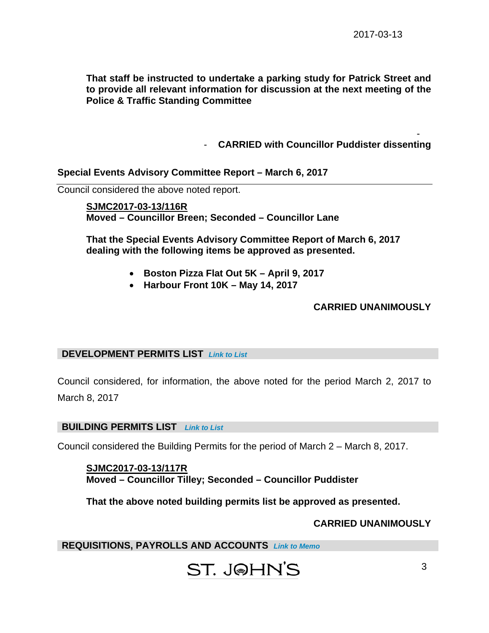**That staff be instructed to undertake a parking study for Patrick Street and to provide all relevant information for discussion at the next meeting of the Police & Traffic Standing Committee** 

> - - **CARRIED with Councillor Puddister dissenting**

### **Special Events Advisory Committee Report – March 6, 2017**

Council considered the above noted report.

**SJMC2017-03-13/116R Moved – Councillor Breen; Seconded – Councillor Lane** 

**That the Special Events Advisory Committee Report of March 6, 2017 dealing with the following items be approved as presented.** 

- **Boston Pizza Flat Out 5K April 9, 2017**
- **Harbour Front 10K May 14, 2017**

#### **CARRIED UNANIMOUSLY**

#### **DEVELOPMENT PERMITS LIST** *[Link to List](#page-5-0)*

Council considered, for information, the above noted for the period March 2, 2017 to March 8, 2017

#### **BUILDING PERMITS LIST** *[Link to List](#page-6-0)*

Council considered the Building Permits for the period of March 2 – March 8, 2017.

**SJMC2017-03-13/117R Moved – Councillor Tilley; Seconded – Councillor Puddister** 

**That the above noted building permits list be approved as presented.** 

#### **CARRIED UNANIMOUSLY**

**REQUISITIONS, PAYROLLS AND ACCOUNTS** *[Link to Memo](#page-8-0)* 

# ST. J@HN'S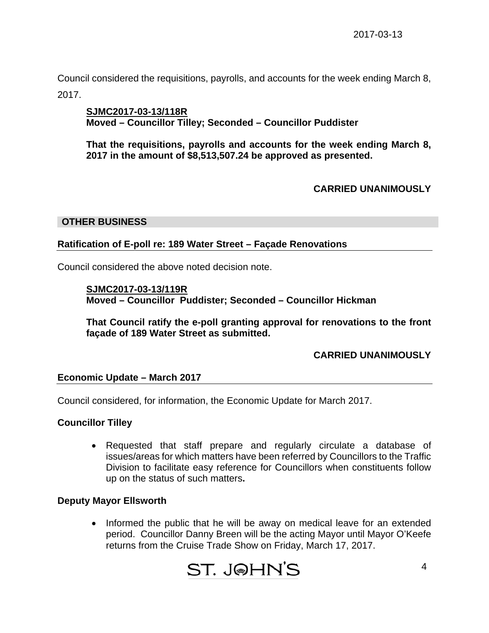Council considered the requisitions, payrolls, and accounts for the week ending March 8, 2017.

# **SJMC2017-03-13/118R Moved – Councillor Tilley; Seconded – Councillor Puddister**

**That the requisitions, payrolls and accounts for the week ending March 8, 2017 in the amount of \$8,513,507.24 be approved as presented.** 

# **CARRIED UNANIMOUSLY**

# **OTHER BUSINESS**

# **Ratification of E-poll re: 189 Water Street – Façade Renovations**

Council considered the above noted decision note.

**SJMC2017-03-13/119R Moved – Councillor Puddister; Seconded – Councillor Hickman** 

**That Council ratify the e-poll granting approval for renovations to the front façade of 189 Water Street as submitted.** 

# **CARRIED UNANIMOUSLY**

# **Economic Update – March 2017**

Council considered, for information, the Economic Update for March 2017.

# **Councillor Tilley**

 Requested that staff prepare and regularly circulate a database of issues/areas for which matters have been referred by Councillors to the Traffic Division to facilitate easy reference for Councillors when constituents follow up on the status of such matters**.** 

# **Deputy Mayor Ellsworth**

• Informed the public that he will be away on medical leave for an extended period. Councillor Danny Breen will be the acting Mayor until Mayor O'Keefe returns from the Cruise Trade Show on Friday, March 17, 2017.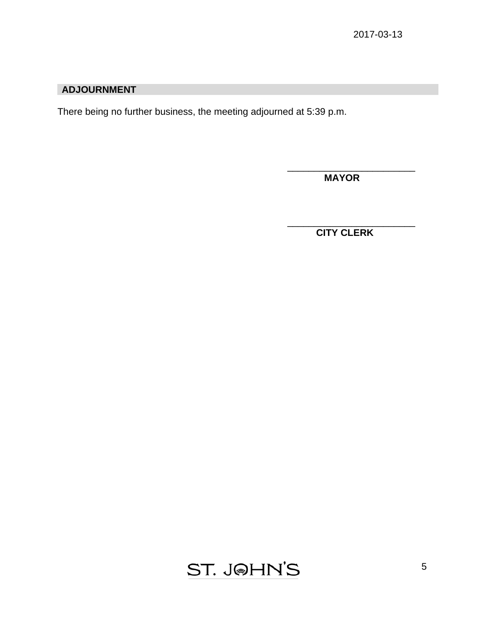# **ADJOURNMENT**

There being no further business, the meeting adjourned at 5:39 p.m.

 $\overline{\phantom{a}}$  , which is a set of the contract of the contract of the contract of the contract of the contract of the contract of the contract of the contract of the contract of the contract of the contract of the contract

 **MAYOR** 

 $\overline{\phantom{a}}$  , and the contract of the contract of the contract of the contract of the contract of the contract of the contract of the contract of the contract of the contract of the contract of the contract of the contrac  **CITY CLERK**

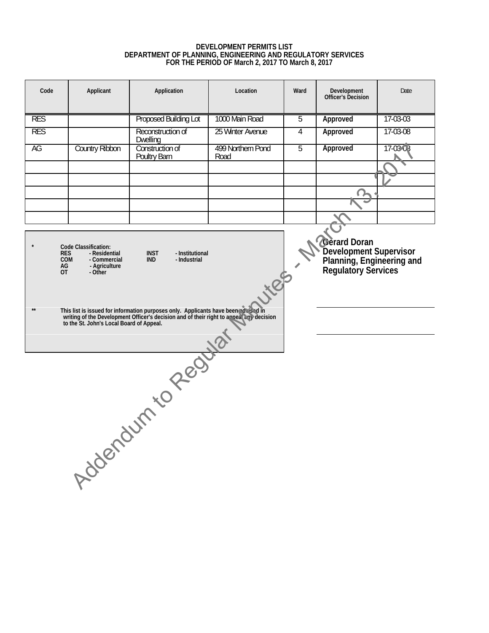# **DEVELOPMENT PERMITS LIST DEPARTMENT OF PLANNING, ENGINEERING AND REGULATORY SERVICES FOR THE PERIOD OF March 2, 2017 TO March 8, 2017**

<span id="page-5-0"></span>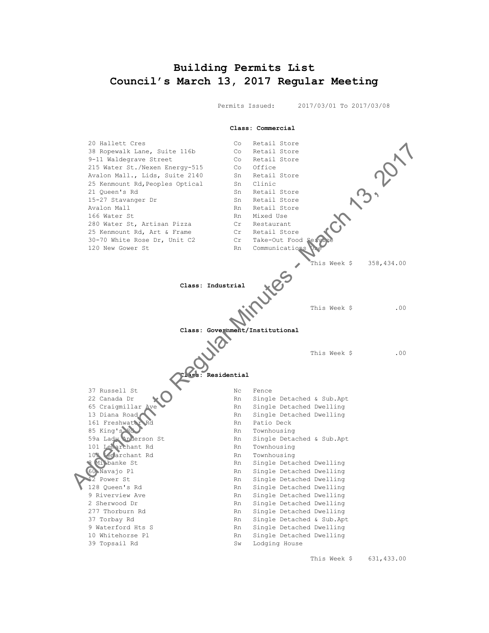# <span id="page-6-0"></span>**Building Permits List Council's March 13, 2017 Regular Meeting**

Permits Issued: 2017/03/01 To 2017/03/08



This Week \$ 631,433.00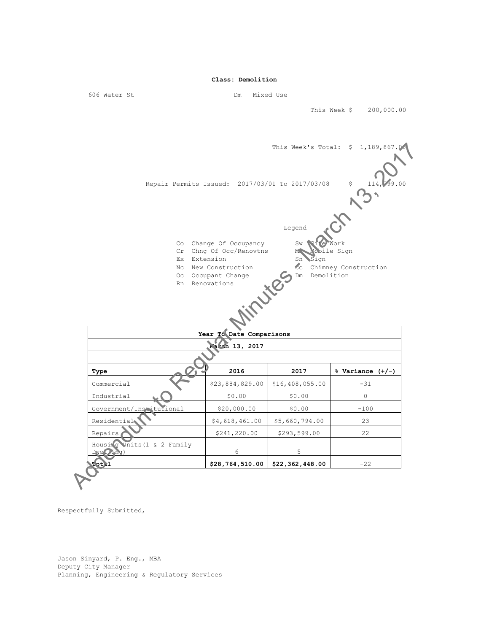This Week \$ 200,000.00



**Total \$28,764,510.00 \$22,362,448.00** -22

Respectfully Submitted,

Jason Sinyard, P. Eng., MBA Deputy City Manager Planning, Engineering & Regulatory Services